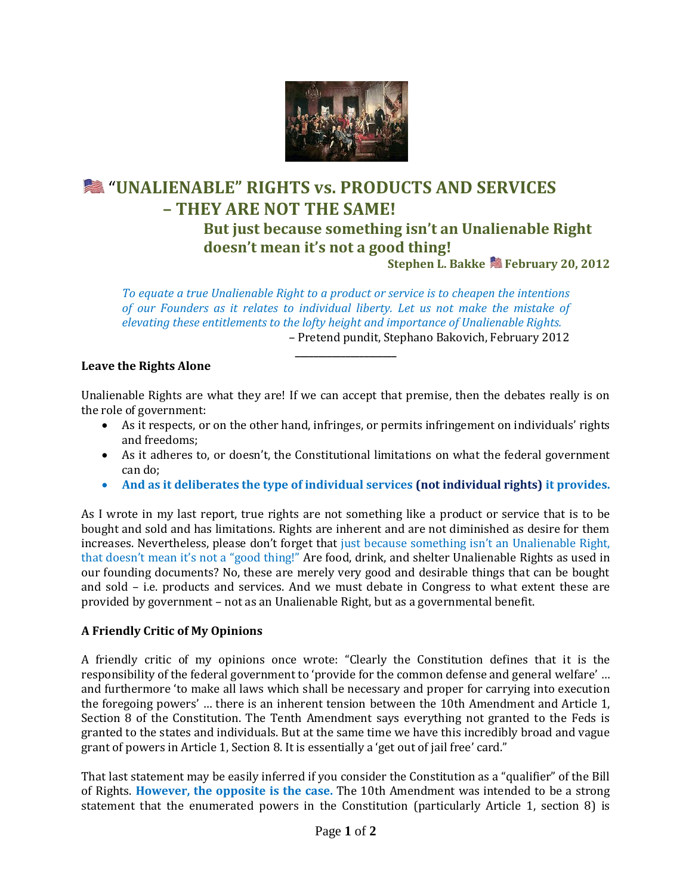

# "**UNALIENABLE" RIGHTS vs. PRODUCTS AND SERVICES – THEY ARE NOT THE SAME!**

**But just because something isn't an Unalienable Right doesn't mean it's not a good thing!**

**Stephen L. Bakke February 20, 2012**

*To equate a true Unalienable Right to a product or service is to cheapen the intentions of our Founders as it relates to individual liberty. Let us not make the mistake of elevating these entitlements to the lofty height and importance of Unalienable Rights.* – Pretend pundit, Stephano Bakovich, February 2012

**\_\_\_\_\_\_\_\_\_\_\_\_\_\_\_\_\_\_\_\_\_\_**

#### **Leave the Rights Alone**

Unalienable Rights are what they are! If we can accept that premise, then the debates really is on the role of government:

- As it respects, or on the other hand, infringes, or permits infringement on individuals' rights and freedoms;
- As it adheres to, or doesn't, the Constitutional limitations on what the federal government can do;
- **And as it deliberates the type of individual services (not individual rights) it provides.**

As I wrote in my last report, true rights are not something like a product or service that is to be bought and sold and has limitations. Rights are inherent and are not diminished as desire for them increases. Nevertheless, please don't forget that just because something isn't an Unalienable Right, that doesn't mean it's not a "good thing!" Are food, drink, and shelter Unalienable Rights as used in our founding documents? No, these are merely very good and desirable things that can be bought and sold – i.e. products and services. And we must debate in Congress to what extent these are provided by government – not as an Unalienable Right, but as a governmental benefit.

#### **A Friendly Critic of My Opinions**

A friendly critic of my opinions once wrote: "Clearly the Constitution defines that it is the responsibility of the federal government to 'provide for the common defense and general welfare' … and furthermore 'to make all laws which shall be necessary and proper for carrying into execution the foregoing powers' … there is an inherent tension between the 10th Amendment and Article 1, Section 8 of the Constitution. The Tenth Amendment says everything not granted to the Feds is granted to the states and individuals. But at the same time we have this incredibly broad and vague grant of powers in Article 1, Section 8. It is essentially a 'get out of jail free' card."

That last statement may be easily inferred if you consider the Constitution as a "qualifier" of the Bill of Rights. **However, the opposite is the case.** The 10th Amendment was intended to be a strong statement that the enumerated powers in the Constitution (particularly Article 1, section 8) is